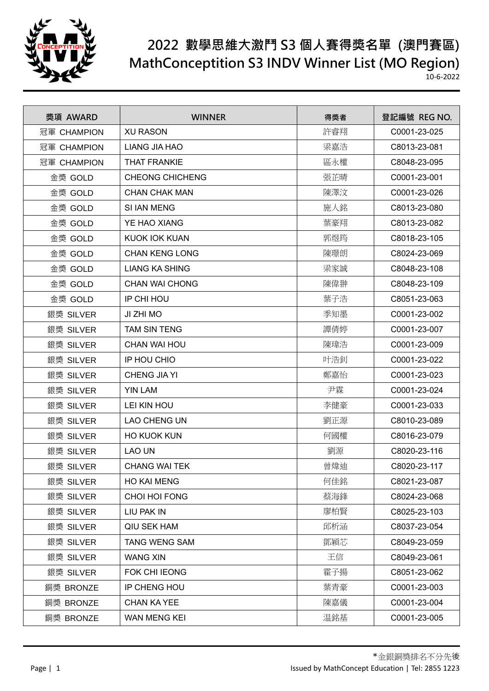

## **2022 數學思維大激鬥 S3 個人賽得獎名單 (澳門賽區) MathConceptition S3 INDV Winner List (MO Region)**

10-6-2022

| 獎項 AWARD    | <b>WINNER</b>          | 得獎者 | 登記編號 REG NO. |
|-------------|------------------------|-----|--------------|
| 冠軍 CHAMPION | <b>XU RASON</b>        | 許睿翔 | C0001-23-025 |
| 冠軍 CHAMPION | <b>LIANG JIA HAO</b>   | 梁嘉浩 | C8013-23-081 |
| 冠軍 CHAMPION | <b>THAT FRANKIE</b>    | 區永權 | C8048-23-095 |
| 金獎 GOLD     | <b>CHEONG CHICHENG</b> | 張芷晴 | C0001-23-001 |
| 金獎 GOLD     | <b>CHAN CHAK MAN</b>   | 陳澤汶 | C0001-23-026 |
| 金獎 GOLD     | SI IAN MENG            | 施人銘 | C8013-23-080 |
| 金獎 GOLD     | YE HAO XIANG           | 葉豪翔 | C8013-23-082 |
| 金獎 GOLD     | KUOK IOK KUAN          | 郭煜筠 | C8018-23-105 |
| 金獎 GOLD     | <b>CHAN KENG LONG</b>  | 陳璟朗 | C8024-23-069 |
| 金獎 GOLD     | <b>LIANG KA SHING</b>  | 梁家誠 | C8048-23-108 |
| 金獎 GOLD     | <b>CHAN WAI CHONG</b>  | 陳偉翀 | C8048-23-109 |
| 金獎 GOLD     | IP CHI HOU             | 葉子浩 | C8051-23-063 |
| 銀獎 SILVER   | JI ZHI MO              | 季知墨 | C0001-23-002 |
| 銀獎 SILVER   | <b>TAM SIN TENG</b>    | 譚倩婷 | C0001-23-007 |
| 銀獎 SILVER   | <b>CHAN WAI HOU</b>    | 陳瑋浩 | C0001-23-009 |
| 銀獎 SILVER   | IP HOU CHIO            | 叶浩釗 | C0001-23-022 |
| 銀獎 SILVER   | CHENG JIA YI           | 鄭嘉怡 | C0001-23-023 |
| 銀獎 SILVER   | <b>YIN LAM</b>         | 尹霖  | C0001-23-024 |
| 銀獎 SILVER   | LEI KIN HOU            | 李健豪 | C0001-23-033 |
| 銀獎 SILVER   | <b>LAO CHENG UN</b>    | 劉正源 | C8010-23-089 |
| 銀獎 SILVER   | <b>HO KUOK KUN</b>     | 何國權 | C8016-23-079 |
| 銀獎 SILVER   | LAO UN                 | 劉源  | C8020-23-116 |
| 銀獎 SILVER   | <b>CHANG WAI TEK</b>   | 曾煒迪 | C8020-23-117 |
| 銀獎 SILVER   | <b>HO KAI MENG</b>     | 何佳銘 | C8021-23-087 |
| 銀獎 SILVER   | CHOI HOI FONG          | 蔡海鋒 | C8024-23-068 |
| 銀獎 SILVER   | LIU PAK IN             | 廖柏賢 | C8025-23-103 |
| 銀獎 SILVER   | QIU SEK HAM            | 邱析涵 | C8037-23-054 |
| 銀獎 SILVER   | <b>TANG WENG SAM</b>   | 鄧穎芯 | C8049-23-059 |
| 銀獎 SILVER   | <b>WANG XIN</b>        | 王信  | C8049-23-061 |
| 銀獎 SILVER   | <b>FOK CHI IEONG</b>   | 霍子揚 | C8051-23-062 |
| 銅獎 BRONZE   | IP CHENG HOU           | 葉青豪 | C0001-23-003 |
| 銅獎 BRONZE   | <b>CHAN KA YEE</b>     | 陳嘉儀 | C0001-23-004 |
| 銅獎 BRONZE   | WAN MENG KEI           | 温銘基 | C0001-23-005 |